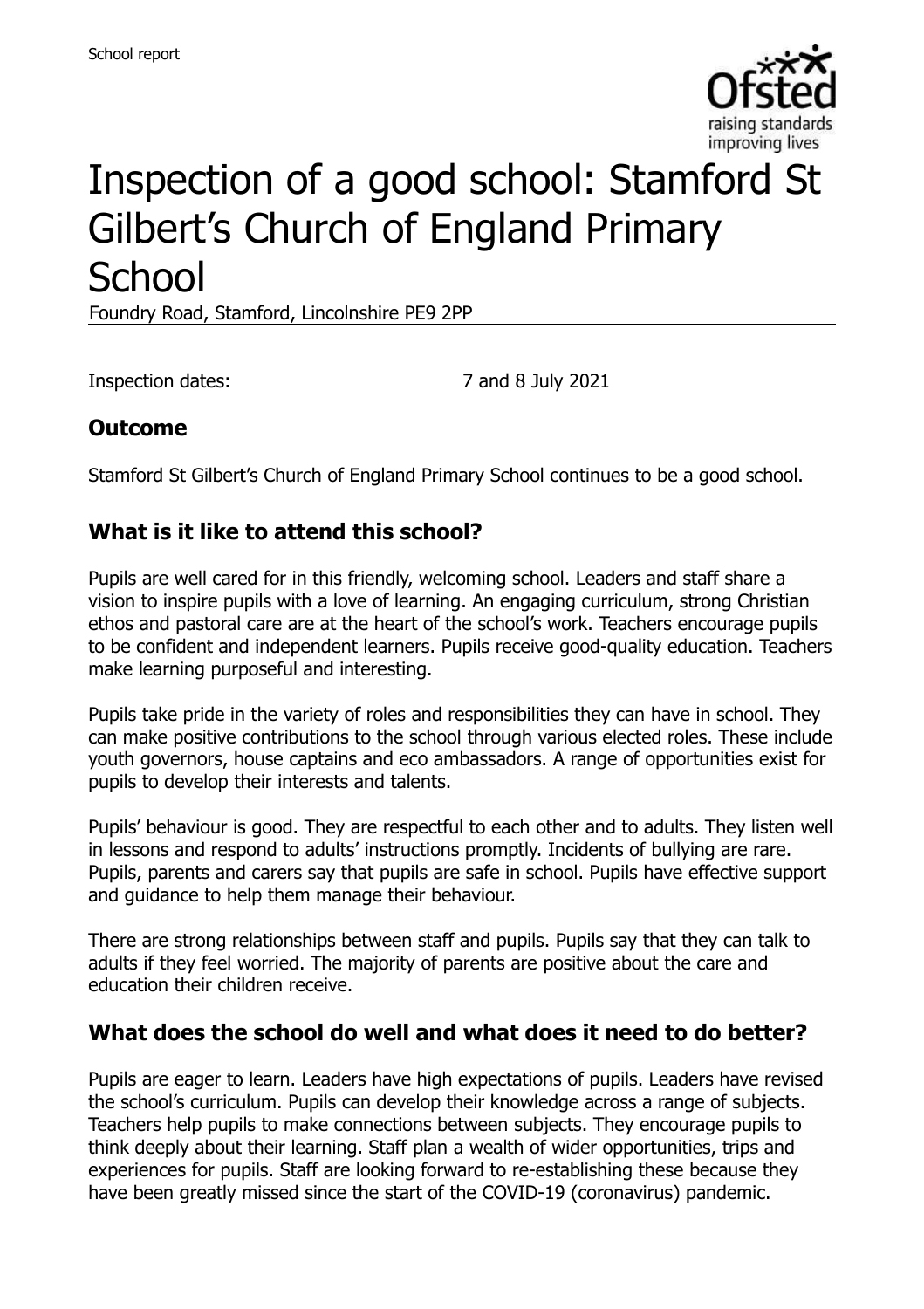

# Inspection of a good school: Stamford St Gilbert's Church of England Primary **School**

Foundry Road, Stamford, Lincolnshire PE9 2PP

Inspection dates: 7 and 8 July 2021

#### **Outcome**

Stamford St Gilbert's Church of England Primary School continues to be a good school.

#### **What is it like to attend this school?**

Pupils are well cared for in this friendly, welcoming school. Leaders and staff share a vision to inspire pupils with a love of learning. An engaging curriculum, strong Christian ethos and pastoral care are at the heart of the school's work. Teachers encourage pupils to be confident and independent learners. Pupils receive good-quality education. Teachers make learning purposeful and interesting.

Pupils take pride in the variety of roles and responsibilities they can have in school. They can make positive contributions to the school through various elected roles. These include youth governors, house captains and eco ambassadors. A range of opportunities exist for pupils to develop their interests and talents.

Pupils' behaviour is good. They are respectful to each other and to adults. They listen well in lessons and respond to adults' instructions promptly. Incidents of bullying are rare. Pupils, parents and carers say that pupils are safe in school. Pupils have effective support and guidance to help them manage their behaviour.

There are strong relationships between staff and pupils. Pupils say that they can talk to adults if they feel worried. The majority of parents are positive about the care and education their children receive.

#### **What does the school do well and what does it need to do better?**

Pupils are eager to learn. Leaders have high expectations of pupils. Leaders have revised the school's curriculum. Pupils can develop their knowledge across a range of subjects. Teachers help pupils to make connections between subjects. They encourage pupils to think deeply about their learning. Staff plan a wealth of wider opportunities, trips and experiences for pupils. Staff are looking forward to re-establishing these because they have been greatly missed since the start of the COVID-19 (coronavirus) pandemic.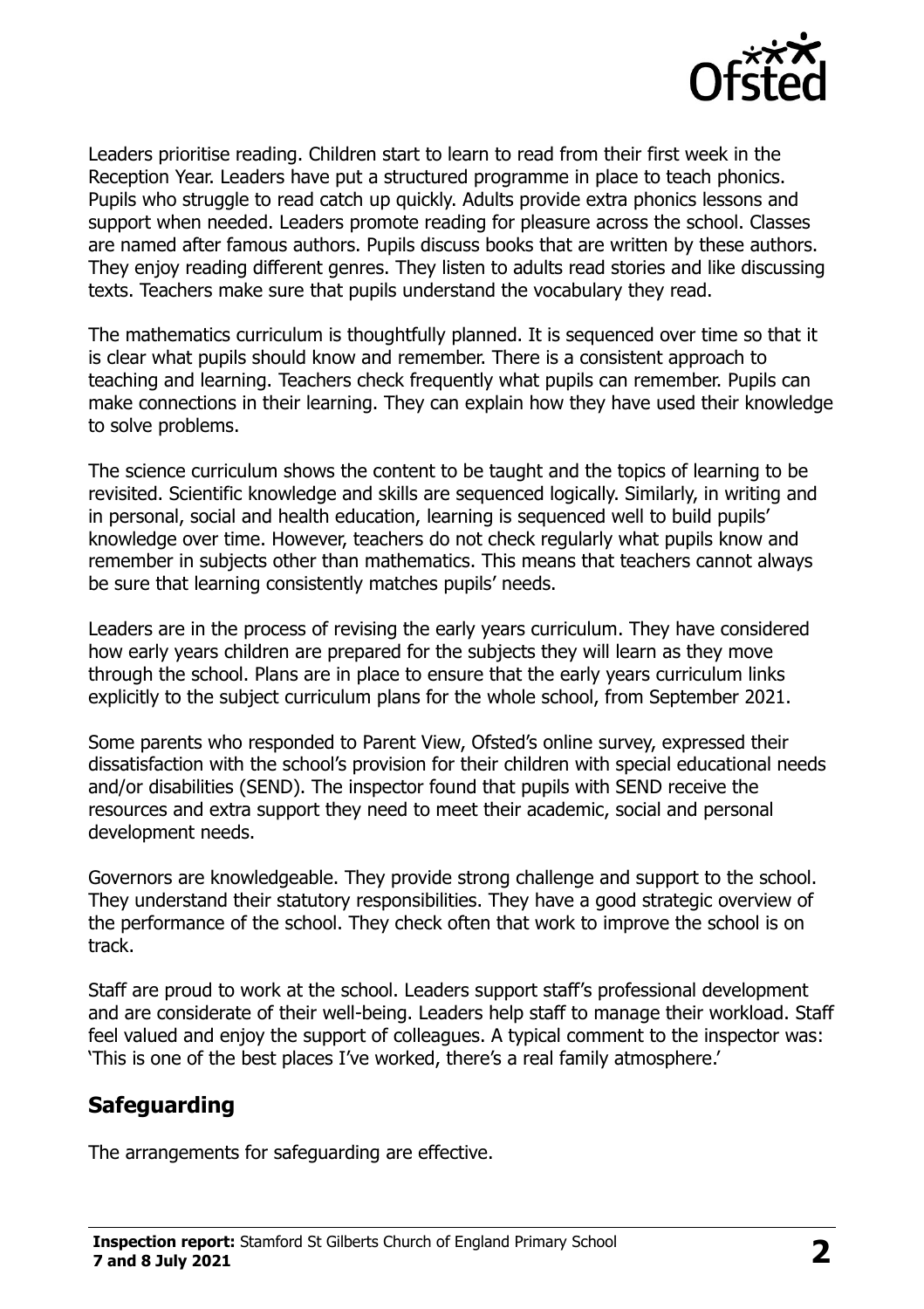

Leaders prioritise reading. Children start to learn to read from their first week in the Reception Year. Leaders have put a structured programme in place to teach phonics. Pupils who struggle to read catch up quickly. Adults provide extra phonics lessons and support when needed. Leaders promote reading for pleasure across the school. Classes are named after famous authors. Pupils discuss books that are written by these authors. They enjoy reading different genres. They listen to adults read stories and like discussing texts. Teachers make sure that pupils understand the vocabulary they read.

The mathematics curriculum is thoughtfully planned. It is sequenced over time so that it is clear what pupils should know and remember. There is a consistent approach to teaching and learning. Teachers check frequently what pupils can remember. Pupils can make connections in their learning. They can explain how they have used their knowledge to solve problems.

The science curriculum shows the content to be taught and the topics of learning to be revisited. Scientific knowledge and skills are sequenced logically. Similarly, in writing and in personal, social and health education, learning is sequenced well to build pupils' knowledge over time. However, teachers do not check regularly what pupils know and remember in subjects other than mathematics. This means that teachers cannot always be sure that learning consistently matches pupils' needs.

Leaders are in the process of revising the early years curriculum. They have considered how early years children are prepared for the subjects they will learn as they move through the school. Plans are in place to ensure that the early years curriculum links explicitly to the subject curriculum plans for the whole school, from September 2021.

Some parents who responded to Parent View, Ofsted's online survey, expressed their dissatisfaction with the school's provision for their children with special educational needs and/or disabilities (SEND). The inspector found that pupils with SEND receive the resources and extra support they need to meet their academic, social and personal development needs.

Governors are knowledgeable. They provide strong challenge and support to the school. They understand their statutory responsibilities. They have a good strategic overview of the performance of the school. They check often that work to improve the school is on track.

Staff are proud to work at the school. Leaders support staff's professional development and are considerate of their well-being. Leaders help staff to manage their workload. Staff feel valued and enjoy the support of colleagues. A typical comment to the inspector was: 'This is one of the best places I've worked, there's a real family atmosphere.'

### **Safeguarding**

The arrangements for safeguarding are effective.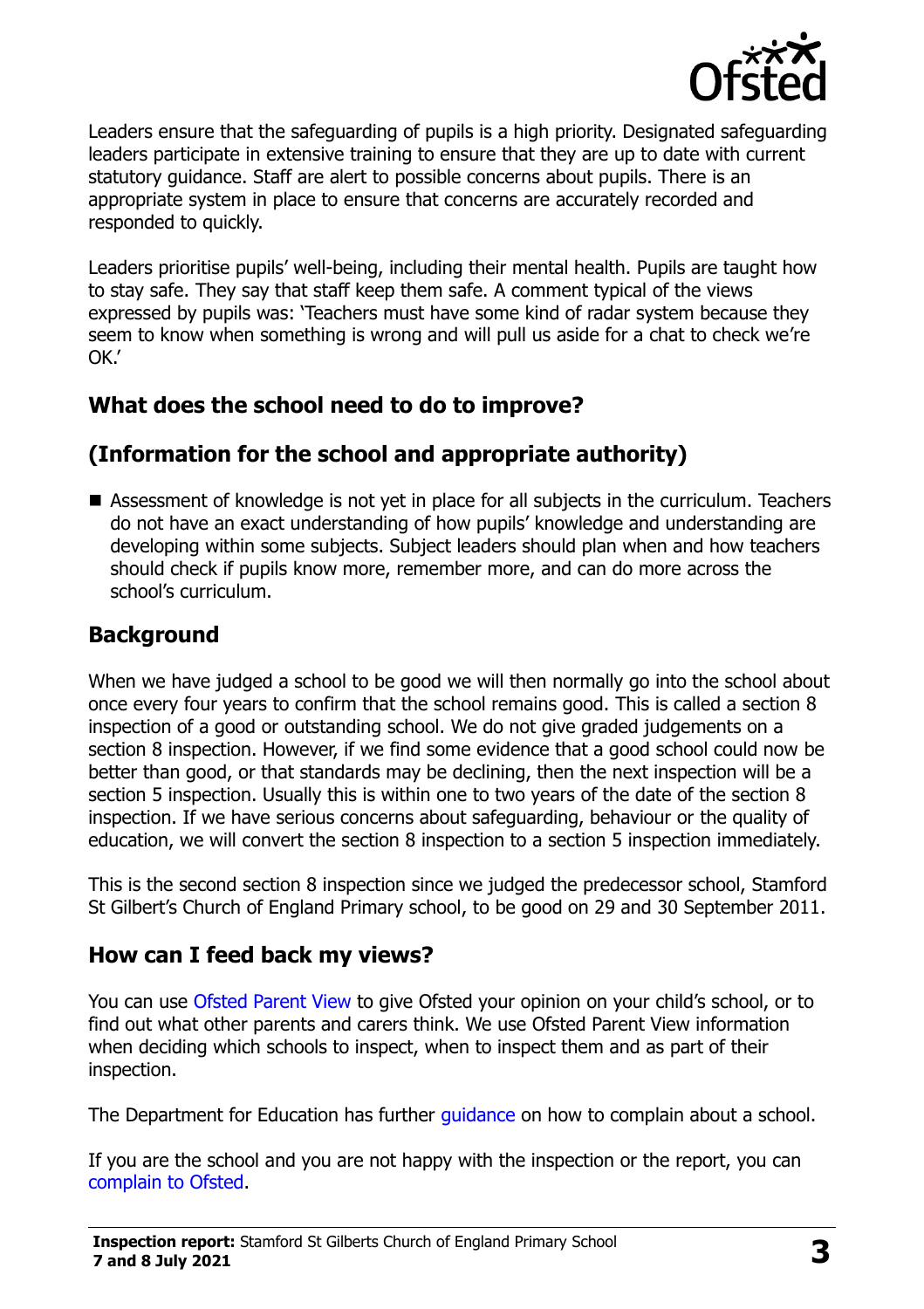

Leaders ensure that the safeguarding of pupils is a high priority. Designated safeguarding leaders participate in extensive training to ensure that they are up to date with current statutory guidance. Staff are alert to possible concerns about pupils. There is an appropriate system in place to ensure that concerns are accurately recorded and responded to quickly.

Leaders prioritise pupils' well-being, including their mental health. Pupils are taught how to stay safe. They say that staff keep them safe. A comment typical of the views expressed by pupils was: 'Teachers must have some kind of radar system because they seem to know when something is wrong and will pull us aside for a chat to check we're OK.'

### **What does the school need to do to improve?**

# **(Information for the school and appropriate authority)**

■ Assessment of knowledge is not yet in place for all subjects in the curriculum. Teachers do not have an exact understanding of how pupils' knowledge and understanding are developing within some subjects. Subject leaders should plan when and how teachers should check if pupils know more, remember more, and can do more across the school's curriculum.

# **Background**

When we have judged a school to be good we will then normally go into the school about once every four years to confirm that the school remains good. This is called a section 8 inspection of a good or outstanding school. We do not give graded judgements on a section 8 inspection. However, if we find some evidence that a good school could now be better than good, or that standards may be declining, then the next inspection will be a section 5 inspection. Usually this is within one to two years of the date of the section 8 inspection. If we have serious concerns about safeguarding, behaviour or the quality of education, we will convert the section 8 inspection to a section 5 inspection immediately.

This is the second section 8 inspection since we judged the predecessor school, Stamford St Gilbert's Church of England Primary school, to be good on 29 and 30 September 2011.

### **How can I feed back my views?**

You can use [Ofsted Parent View](https://parentview.ofsted.gov.uk/) to give Ofsted your opinion on your child's school, or to find out what other parents and carers think. We use Ofsted Parent View information when deciding which schools to inspect, when to inspect them and as part of their inspection.

The Department for Education has further quidance on how to complain about a school.

If you are the school and you are not happy with the inspection or the report, you can [complain to Ofsted.](https://www.gov.uk/complain-ofsted-report)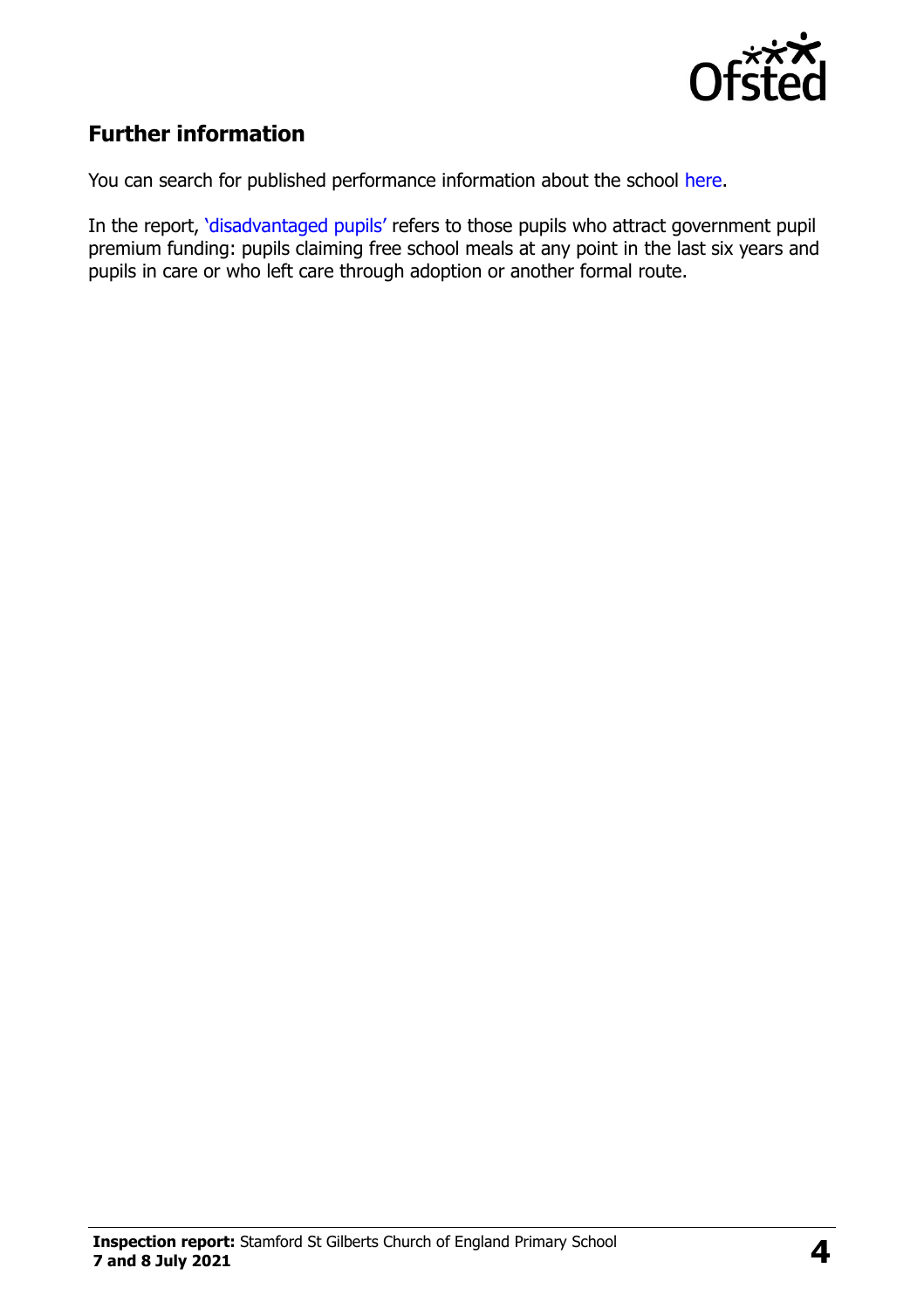

## **Further information**

You can search for published performance information about the school [here.](http://www.compare-school-performance.service.gov.uk/)

In the report, '[disadvantaged pupils](http://www.gov.uk/guidance/pupil-premium-information-for-schools-and-alternative-provision-settings)' refers to those pupils who attract government pupil premium funding: pupils claiming free school meals at any point in the last six years and pupils in care or who left care through adoption or another formal route.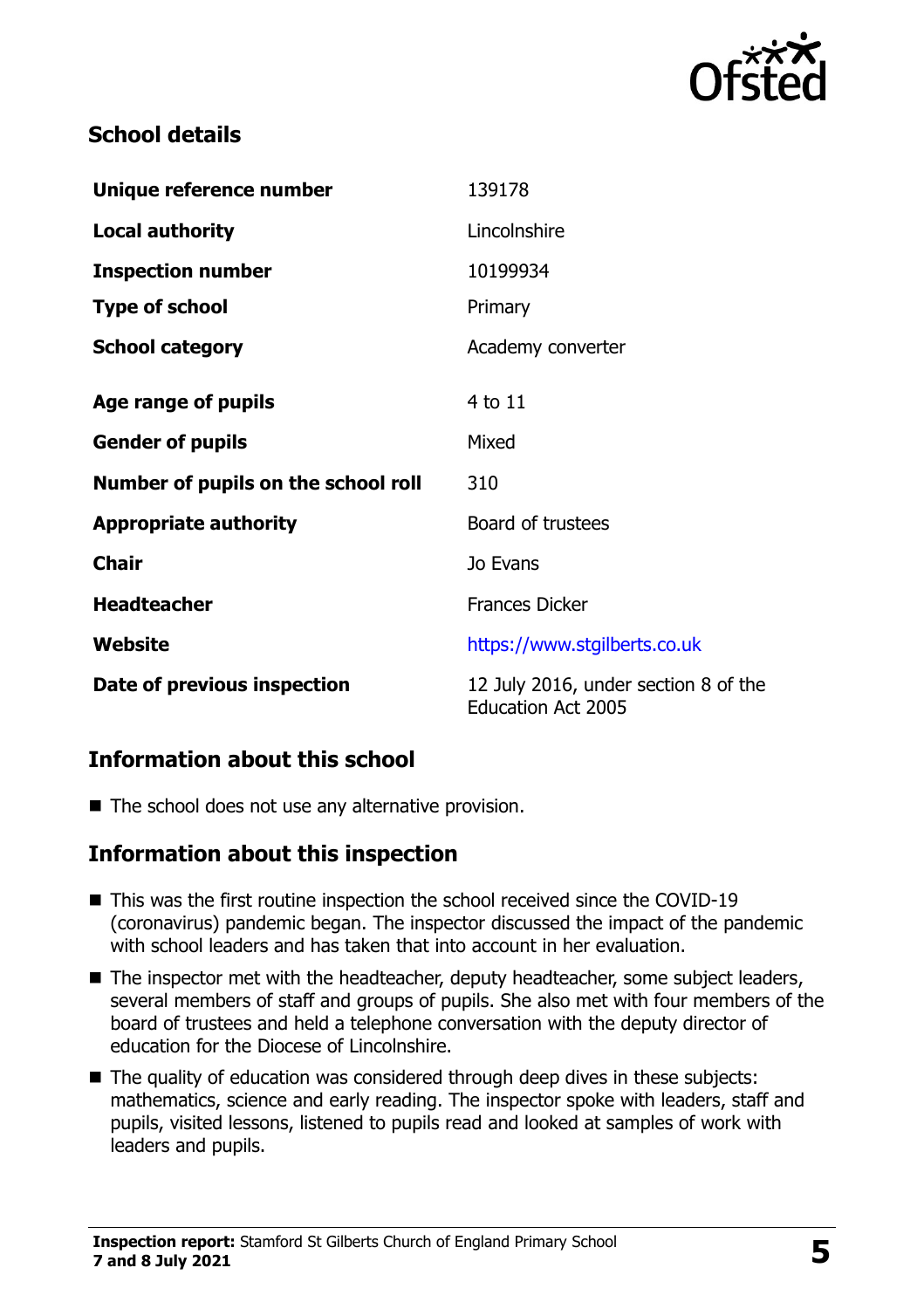

#### **School details**

| Unique reference number             | 139178                                                            |
|-------------------------------------|-------------------------------------------------------------------|
| <b>Local authority</b>              | Lincolnshire                                                      |
| <b>Inspection number</b>            | 10199934                                                          |
| <b>Type of school</b>               | Primary                                                           |
| <b>School category</b>              | Academy converter                                                 |
| Age range of pupils                 | 4 to 11                                                           |
| <b>Gender of pupils</b>             | Mixed                                                             |
| Number of pupils on the school roll | 310                                                               |
| <b>Appropriate authority</b>        | Board of trustees                                                 |
| <b>Chair</b>                        | Jo Evans                                                          |
| <b>Headteacher</b>                  | <b>Frances Dicker</b>                                             |
| Website                             | https://www.stgilberts.co.uk                                      |
| Date of previous inspection         | 12 July 2016, under section 8 of the<br><b>Education Act 2005</b> |

### **Information about this school**

 $\blacksquare$  The school does not use any alternative provision.

#### **Information about this inspection**

- This was the first routine inspection the school received since the COVID-19 (coronavirus) pandemic began. The inspector discussed the impact of the pandemic with school leaders and has taken that into account in her evaluation.
- The inspector met with the headteacher, deputy headteacher, some subject leaders, several members of staff and groups of pupils. She also met with four members of the board of trustees and held a telephone conversation with the deputy director of education for the Diocese of Lincolnshire.
- The quality of education was considered through deep dives in these subjects: mathematics, science and early reading. The inspector spoke with leaders, staff and pupils, visited lessons, listened to pupils read and looked at samples of work with leaders and pupils.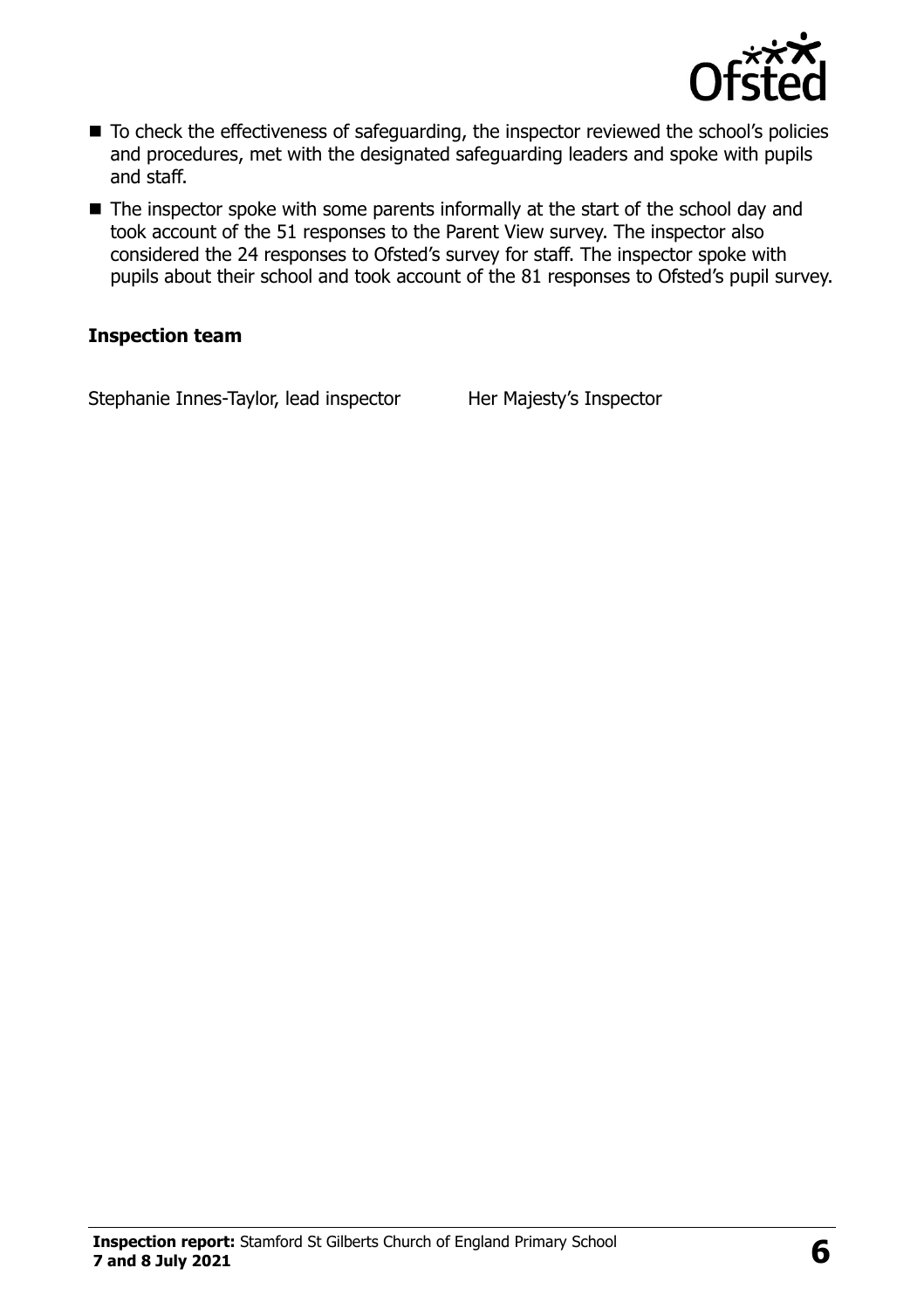

- To check the effectiveness of safeguarding, the inspector reviewed the school's policies and procedures, met with the designated safeguarding leaders and spoke with pupils and staff.
- The inspector spoke with some parents informally at the start of the school day and took account of the 51 responses to the Parent View survey. The inspector also considered the 24 responses to Ofsted's survey for staff. The inspector spoke with pupils about their school and took account of the 81 responses to Ofsted's pupil survey.

#### **Inspection team**

Stephanie Innes-Taylor, lead inspector Her Majesty's Inspector